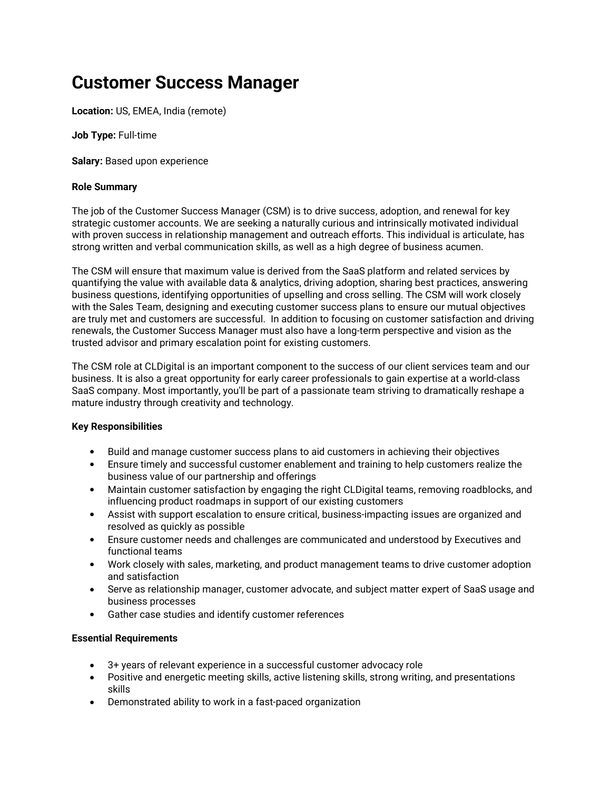# Customer Success Manager

Location: US, EMEA, India (remote)

Job Type: Full-time

Salary: Based upon experience

#### Role Summary

The job of the Customer Success Manager (CSM) is to drive success, adoption, and renewal for key strategic customer accounts. We are seeking a naturally curious and intrinsically motivated individual with proven success in relationship management and outreach efforts. This individual is articulate, has strong written and verbal communication skills, as well as a high degree of business acumen.

The CSM will ensure that maximum value is derived from the SaaS platform and related services by quantifying the value with available data & analytics, driving adoption, sharing best practices, answering business questions, identifying opportunities of upselling and cross selling. The CSM will work closely with the Sales Team, designing and executing customer success plans to ensure our mutual objectives are truly met and customers are successful. In addition to focusing on customer satisfaction and driving renewals, the Customer Success Manager must also have a long-term perspective and vision as the trusted advisor and primary escalation point for existing customers.

The CSM role at CLDigital is an important component to the success of our client services team and our business. It is also a great opportunity for early career professionals to gain expertise at a world-class SaaS company. Most importantly, you'll be part of a passionate team striving to dramatically reshape a mature industry through creativity and technology.

### Key Responsibilities

- Build and manage customer success plans to aid customers in achieving their objectives
- Ensure timely and successful customer enablement and training to help customers realize the business value of our partnership and offerings
- Maintain customer satisfaction by engaging the right CLDigital teams, removing roadblocks, and influencing product roadmaps in support of our existing customers
- Assist with support escalation to ensure critical, business-impacting issues are organized and resolved as quickly as possible
- Ensure customer needs and challenges are communicated and understood by Executives and functional teams
- Work closely with sales, marketing, and product management teams to drive customer adoption and satisfaction
- Serve as relationship manager, customer advocate, and subject matter expert of SaaS usage and business processes
- Gather case studies and identify customer references

#### Essential Requirements

- 3+ years of relevant experience in a successful customer advocacy role
- Positive and energetic meeting skills, active listening skills, strong writing, and presentations skills
- Demonstrated ability to work in a fast-paced organization